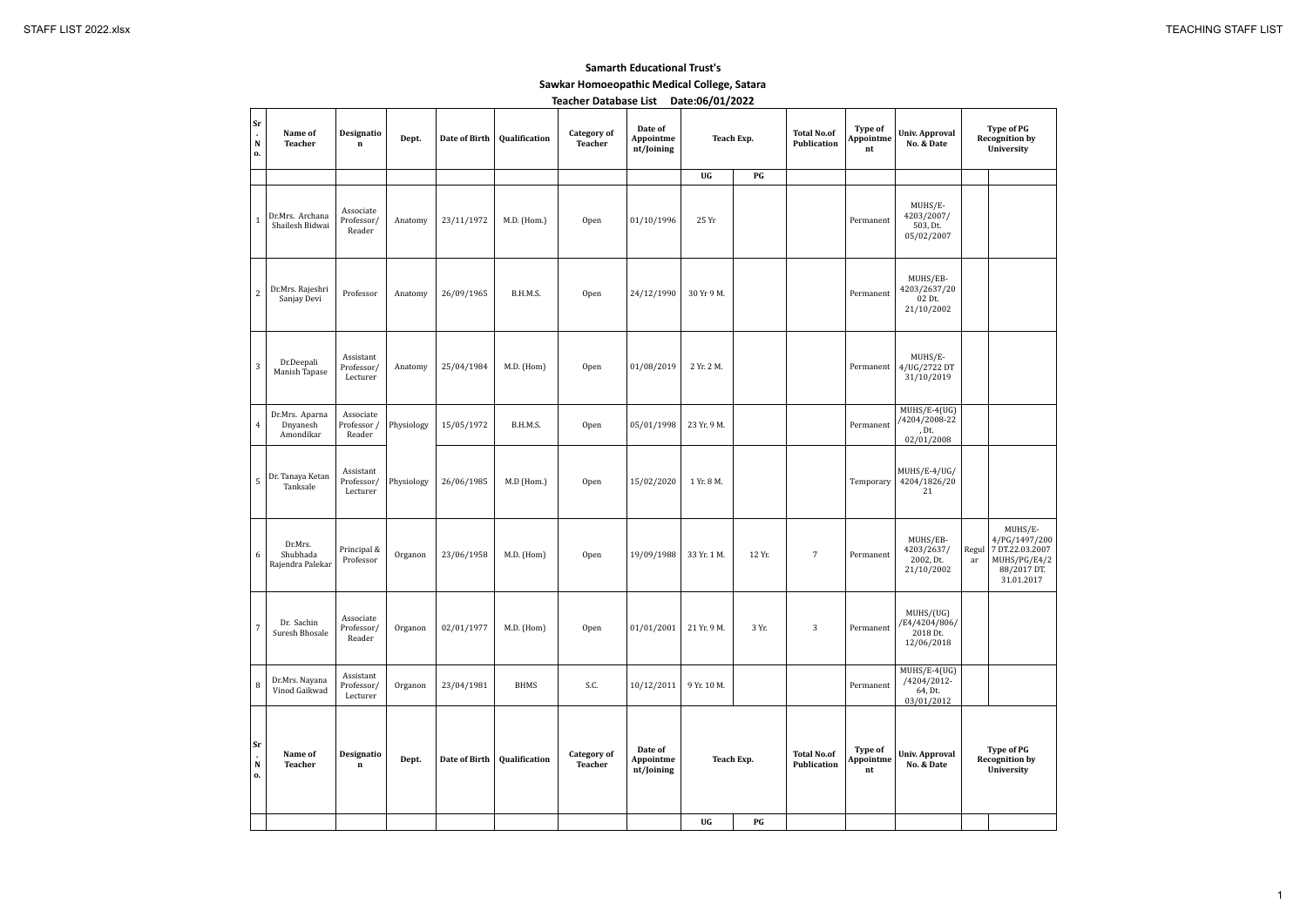#### **Samarth Educational Trust's**

**Sawkar Homoeopathic Medical College, Satara**

| <b>Teacher Database List</b> | Date:06/01/2022 |
|------------------------------|-----------------|
|------------------------------|-----------------|

| Sr<br>$\mathbf{r}$<br>N<br>о.               | Name of<br><b>Teacher</b>               | Designatio<br>$\mathbf n$           | Dept.      | Date of Birth | Qualification | <b>Category of</b><br><b>Teacher</b> | Date of<br>Appointme<br>nt/Joining | <b>Teach Exp.</b> |                        | <b>Total No.of</b><br><b>Publication</b> | Type of<br>Appointme<br>nt | <b>Univ. Approval</b><br>No. & Date                    | Re          |
|---------------------------------------------|-----------------------------------------|-------------------------------------|------------|---------------|---------------|--------------------------------------|------------------------------------|-------------------|------------------------|------------------------------------------|----------------------------|--------------------------------------------------------|-------------|
|                                             |                                         |                                     |            |               |               |                                      |                                    | UG                | PG                     |                                          |                            |                                                        |             |
| $\mathbf{1}$                                | Dr.Mrs. Archana<br>Shailesh Bidwai      | Associate<br>Professor/<br>Reader   | Anatomy    | 23/11/1972    | M.D. (Hom.)   | Open                                 | 01/10/1996                         | 25 Yr             |                        |                                          | Permanent                  | MUHS/E-<br>4203/2007/<br>503, Dt.<br>05/02/2007        |             |
| $\sqrt{2}$                                  | Dr.Mrs. Rajeshri<br>Sanjay Devi         | Professor                           | Anatomy    | 26/09/1965    | B.H.M.S.      | <b>Open</b>                          | 24/12/1990                         | 30 Yr 9 M.        |                        |                                          | Permanent                  | MUHS/EB-<br>4203/2637/20<br>02 Dt.<br>21/10/2002       |             |
| $\sqrt{3}$                                  | Dr.Deepali<br>Manish Tapase             | Assistant<br>Professor/<br>Lecturer | Anatomy    | 25/04/1984    | M.D. (Hom)    | <b>Open</b>                          | 01/08/2019                         | 2 Yr. 2 M.        |                        |                                          | Permanent                  | MUHS/E-<br>4/UG/2722 DT<br>31/10/2019                  |             |
| $\overline{4}$                              | Dr.Mrs. Aparna<br>Dnyanesh<br>Amondikar | Associate<br>Professor /<br>Reader  | Physiology | 15/05/1972    | B.H.M.S.      | <b>Open</b>                          | 05/01/1998                         | 23 Yr. 9 M.       |                        |                                          | Permanent                  | $MUHS/E-4(UG)$<br>/4204/2008-22<br>, Dt.<br>02/01/2008 |             |
| $\sqrt{5}$                                  | Dr. Tanaya Ketan<br>Tanksale            | Assistant<br>Professor/<br>Lecturer | Physiology | 26/06/1985    | M.D (Hom.)    | <b>Open</b>                          | 15/02/2020                         | 1 Yr. 8 M.        |                        |                                          | Temporary                  | MUHS/E-4/UG/<br>4204/1826/20<br>21                     |             |
| 6                                           | Dr.Mrs.<br>Shubhada<br>Rajendra Palekar | Principal &<br>Professor            | Organon    | 23/06/1958    | M.D. (Hom)    | <b>Open</b>                          | 19/09/1988                         | 33 Yr. 1 M.       | 12 Yr.                 | $\overline{7}$                           | Permanent                  | MUHS/EB-<br>4203/2637/<br>2002, Dt.<br>21/10/2002      | Regul<br>ar |
| $\boldsymbol{7}$                            | Dr. Sachin<br>Suresh Bhosale            | Associate<br>Professor/<br>Reader   | Organon    | 02/01/1977    | M.D. (Hom)    | Open                                 | 01/01/2001                         | 21 Yr. 9 M.       | 3 Yr.                  | 3                                        | Permanent                  | MUHS/(UG)<br>/E4/4204/806/<br>2018 Dt.<br>12/06/2018   |             |
| $\, 8$                                      | Dr.Mrs. Nayana<br>Vinod Gaikwad         | Assistant<br>Professor/<br>Lecturer | Organon    | 23/04/1981    | <b>BHMS</b>   | S.C.                                 | 10/12/2011                         | 9 Yr. 10 M.       |                        |                                          | Permanent                  | $MUHS/E-4(UG)$<br>/4204/2012-<br>64, Dt.<br>03/01/2012 |             |
| ${\bf Sr}$<br>$\epsilon$<br>${\bf N}$<br>0. | Name of<br><b>Teacher</b>               | Designatio<br>$\mathbf n$           | Dept.      | Date of Birth | Qualification | <b>Category of</b><br><b>Teacher</b> | Date of<br>Appointme<br>nt/Joining | <b>Teach Exp.</b> |                        | <b>Total No.of</b><br>Publication        | Type of<br>Appointme<br>nt | <b>Univ. Approval</b><br>No. & Date                    | Re          |
|                                             |                                         |                                     |            |               |               |                                      |                                    | UG                | $\mathbf{P}\mathbf{G}$ |                                          |                            |                                                        |             |

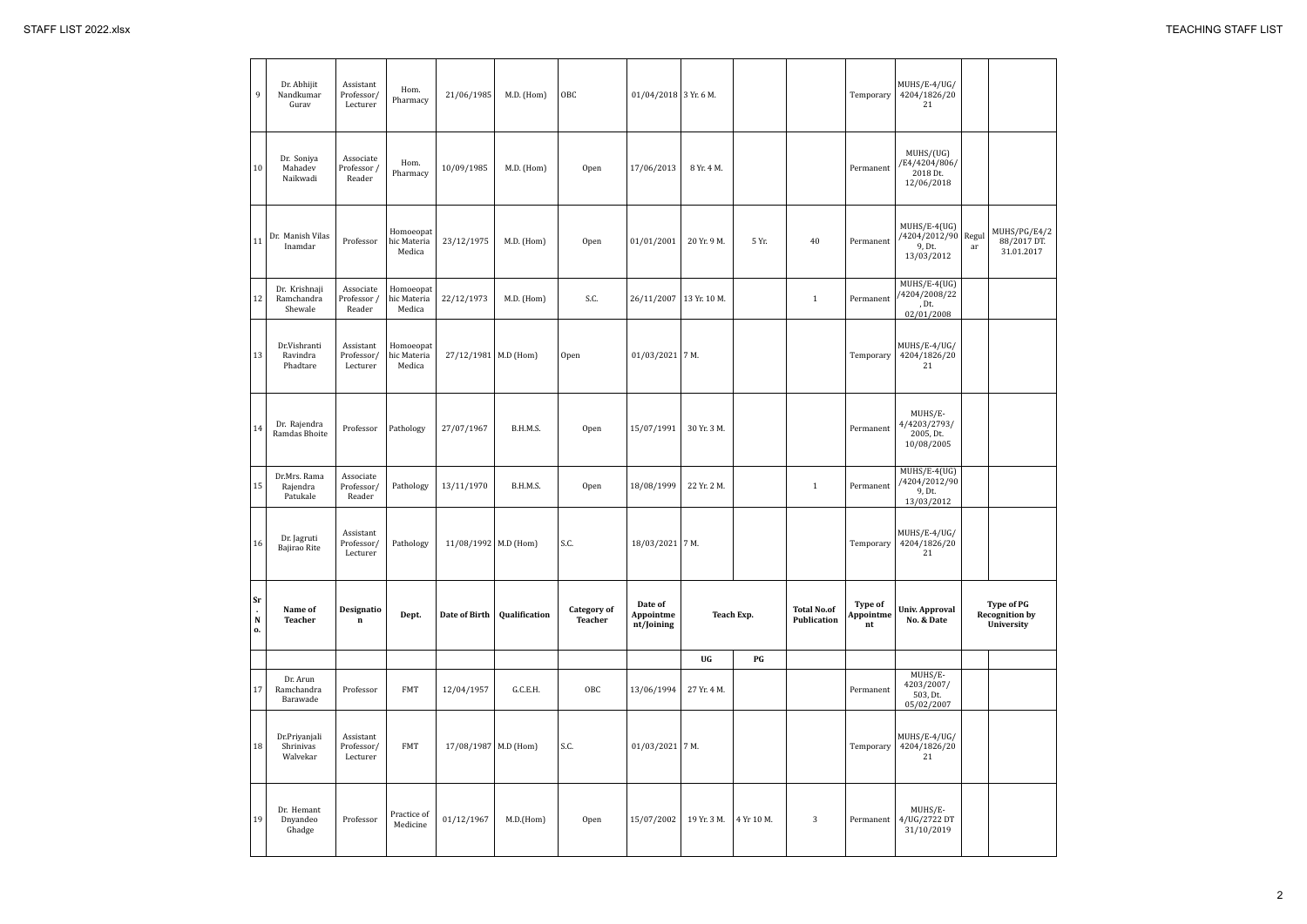| 9                                     | Dr. Abhijit<br>Nandkumar<br>Gurav      | Assistant<br>Professor/<br>Lecturer | Hom.<br>Pharmacy                   | 21/06/1985             | M.D. (Hom)    | OBC                                  | $01/04/2018$ 3 Yr. 6 M.            |              |            |                                   | Temporary                  | MUHS/E-4/UG/<br>4204/1826/20<br>21                            |    |
|---------------------------------------|----------------------------------------|-------------------------------------|------------------------------------|------------------------|---------------|--------------------------------------|------------------------------------|--------------|------------|-----------------------------------|----------------------------|---------------------------------------------------------------|----|
| 10                                    | Dr. Soniya<br>Mahadev<br>Naikwadi      | Associate<br>Professor /<br>Reader  | Hom.<br>Pharmacy                   | 10/09/1985             | M.D. (Hom)    | Open                                 | 17/06/2013                         | 8 Yr. 4 M.   |            |                                   | Permanent                  | MUHS/(UG)<br>/E4/4204/806/<br>2018 Dt.<br>12/06/2018          |    |
| 11                                    | Dr. Manish Vilas<br>Inamdar            | Professor                           | Homoeopat<br>hic Materia<br>Medica | 23/12/1975             | M.D. (Hom)    | Open                                 | 01/01/2001                         | 20 Yr. 9 M.  | 5 Yr.      | 40                                | Permanent                  | $MUHS/E-4(UG)$<br>/4204/2012/90 Regul<br>9, Dt.<br>13/03/2012 | ar |
| 12                                    | Dr. Krishnaji<br>Ramchandra<br>Shewale | Associate<br>Professor /<br>Reader  | Homoeopat<br>hic Materia<br>Medica | 22/12/1973             | M.D. (Hom)    | S.C.                                 | 26/11/2007                         | 13 Yr. 10 M. |            | $\mathbf{1}$                      | Permanent                  | MUHS/E-4(UG)<br>/4204/2008/22<br>, Dt.<br>02/01/2008          |    |
| 13                                    | Dr.Vishranti<br>Ravindra<br>Phadtare   | Assistant<br>Professor/<br>Lecturer | Homoeopat<br>hic Materia<br>Medica | 27/12/1981 M.D (Hom)   |               | <b>Open</b>                          | $01/03/2021$ 7 M.                  |              |            |                                   | Temporary                  | MUHS/E-4/UG/<br>4204/1826/20<br>21                            |    |
| 14                                    | Dr. Rajendra<br>Ramdas Bhoite          | Professor                           | Pathology                          | 27/07/1967             | B.H.M.S.      | Open                                 | 15/07/1991                         | 30 Yr. 3 M.  |            |                                   | Permanent                  | MUHS/E-<br>4/4203/2793/<br>2005, Dt.<br>10/08/2005            |    |
| 15                                    | Dr.Mrs. Rama<br>Rajendra<br>Patukale   | Associate<br>Professor/<br>Reader   | Pathology                          | 13/11/1970             | B.H.M.S.      | Open                                 | 18/08/1999                         | 22 Yr. 2 M.  |            | $\mathbf{1}$                      | Permanent                  | MUHS/E-4(UG)<br>/4204/2012/90<br>9, Dt.<br>13/03/2012         |    |
| 16                                    | Dr. Jagruti<br>Bajirao Rite            | Assistant<br>Professor/<br>Lecturer | Pathology                          | 11/08/1992 M.D (Hom)   |               | S.C.                                 | 18/03/2021 7 M.                    |              |            |                                   | Temporary                  | MUHS/E-4/UG/<br>4204/1826/20<br>21                            |    |
| Sr<br>$\mathbf{r}$<br>${\bf N}$<br>о. | Name of<br><b>Teacher</b>              | Designatio<br>$\bf n$               | Dept.                              | Date of Birth          | Qualification | <b>Category of</b><br><b>Teacher</b> | Date of<br>Appointme<br>nt/Joining |              | Teach Exp. | <b>Total No.of</b><br>Publication | Type of<br>Appointme<br>nt | <b>Univ. Approval</b><br>No. & Date                           | Re |
|                                       |                                        |                                     |                                    |                        |               |                                      |                                    | UG           | PG         |                                   |                            |                                                               |    |
| 17                                    | Dr. Arun<br>Ramchandra<br>Barawade     | Professor                           | <b>FMT</b>                         | 12/04/1957             | G.C.E.H.      | OBC                                  | 13/06/1994                         | 27 Yr. 4 M.  |            |                                   | Permanent                  | MUHS/E-<br>4203/2007/<br>503, Dt.<br>05/02/2007               |    |
| 18                                    | Dr.Priyanjali<br>Shrinivas<br>Walvekar | Assistant<br>Professor/<br>Lecturer | <b>FMT</b>                         | 17/08/1987   M.D (Hom) |               | S.C.                                 | $01/03/2021$ 7 M.                  |              |            |                                   | Temporary                  | MUHS/E-4/UG/<br>4204/1826/20<br>21                            |    |
| 19                                    | Dr. Hemant<br>Dnyandeo<br>Ghadge       | Professor                           | Practice of<br>Medicine            | 01/12/1967             | M.D.(Hom)     | Open                                 | 15/07/2002                         | 19 Yr. 3 M.  | 4 Yr 10 M. | 3                                 | Permanent                  | MUHS/E-<br>4/UG/2722 DT<br>31/10/2019                         |    |

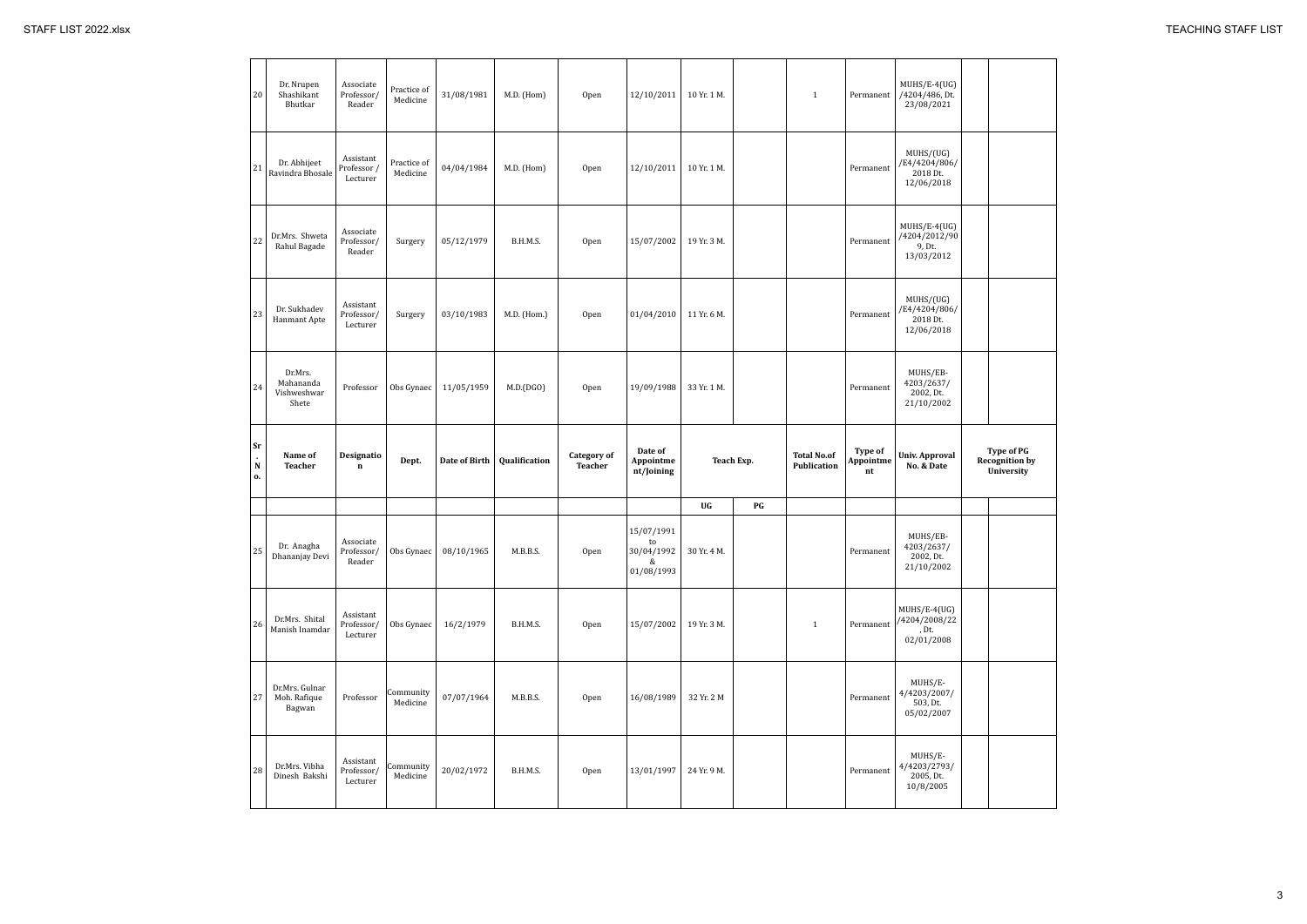| 20                           | Dr. Nrupen<br>Shashikant<br>Bhutkar          | Associate<br>Professor/<br>Reader    | Practice of<br>Medicine | 31/08/1981                       | M.D. (Hom)    | Open                          | 12/10/2011                                                    | 10 Yr. 1 M. |            | $\mathbf{1}$                      | Permanent                  | MUHS/E-4(UG)<br>/4204/486, Dt.<br>23/08/2021            |             |
|------------------------------|----------------------------------------------|--------------------------------------|-------------------------|----------------------------------|---------------|-------------------------------|---------------------------------------------------------------|-------------|------------|-----------------------------------|----------------------------|---------------------------------------------------------|-------------|
| 21                           | Dr. Abhijeet<br>Ravindra Bhosale             | Assistant<br>Professor /<br>Lecturer | Practice of<br>Medicine | 04/04/1984                       | M.D. (Hom)    | Open                          | 12/10/2011                                                    | 10 Yr. 1 M. |            |                                   | Permanent                  | MUHS/(UG)<br>/E4/4204/806/<br>2018 Dt.<br>12/06/2018    |             |
| 22                           | Dr.Mrs. Shweta<br>Rahul Bagade               | Associate<br>Professor/<br>Reader    | Surgery                 | 05/12/1979                       | B.H.M.S.      | Open                          | 15/07/2002                                                    | 19 Yr. 3 M. |            |                                   | Permanent                  | $MUHS/E-4(UG)$<br>/4204/2012/90<br>9, Dt.<br>13/03/2012 |             |
| 23                           | Dr. Sukhadev<br>Hanmant Apte                 | Assistant<br>Professor/<br>Lecturer  | Surgery                 | 03/10/1983                       | M.D. (Hom.)   | Open                          | 01/04/2010                                                    | 11 Yr. 6 M. |            |                                   | Permanent                  | MUHS/(UG)<br>/E4/4204/806/<br>2018 Dt.<br>12/06/2018    |             |
| 24                           | Dr.Mrs.<br>Mahananda<br>Vishweshwar<br>Shete | Professor                            | Obs Gynaec              | 11/05/1959                       | M.D.(DGO)     | Open                          | 19/09/1988                                                    | 33 Yr. 1 M. |            |                                   | Permanent                  | MUHS/EB-<br>4203/2637/<br>2002, Dt.<br>21/10/2002       |             |
|                              |                                              |                                      |                         |                                  |               |                               |                                                               |             |            |                                   |                            |                                                         |             |
| <b>Sr</b><br>${\bf N}$<br>0. | Name of<br><b>Teacher</b>                    | Designatio<br>$\mathbf n$            | Dept.                   | Date of Birth                    | Qualification | <b>Category of</b><br>Teacher | Date of<br>Appointme<br>nt/Joining                            |             | Teach Exp. | <b>Total No.of</b><br>Publication | Type of<br>Appointme<br>nt | <b>Univ. Approval</b><br>No. & Date                     |             |
|                              |                                              |                                      |                         |                                  |               |                               |                                                               | UG          | PG         |                                   |                            |                                                         | $\mathbf R$ |
| $25\,$                       | Dr. Anagha<br>Dhananjay Devi                 | Associate<br>Reader                  |                         | Professor/ Obs Gynaec 08/10/1965 | M.B.B.S.      | Open                          | 15/07/1991<br>to<br>30/04/1992 30 Yr. 4 M.<br>&<br>01/08/1993 |             |            |                                   | Permanent                  | MUHS/EB-<br>4203/2637/<br>2002, Dt.<br>21/10/2002       |             |
| 26                           | Dr.Mrs. Shital<br>Manish Inamdar             | Assistant<br>Professor/<br>Lecturer  | Obs Gynaec              | 16/2/1979                        | B.H.M.S.      | Open                          | 15/07/2002                                                    | 19 Yr. 3 M. |            | $\mathbf{1}$                      | Permanent                  | $MUHS/E-4(UG)$<br>/4204/2008/22<br>, Dt.<br>02/01/2008  |             |
| 27                           | Dr.Mrs. Gulnar<br>Moh. Rafique<br>Bagwan     | Professor                            | Community<br>Medicine   | 07/07/1964                       | M.B.B.S.      | Open                          | 16/08/1989                                                    | 32 Yr. 2 M  |            |                                   | Permanent                  | MUHS/E-<br>4/4203/2007/<br>503, Dt.<br>05/02/2007       |             |